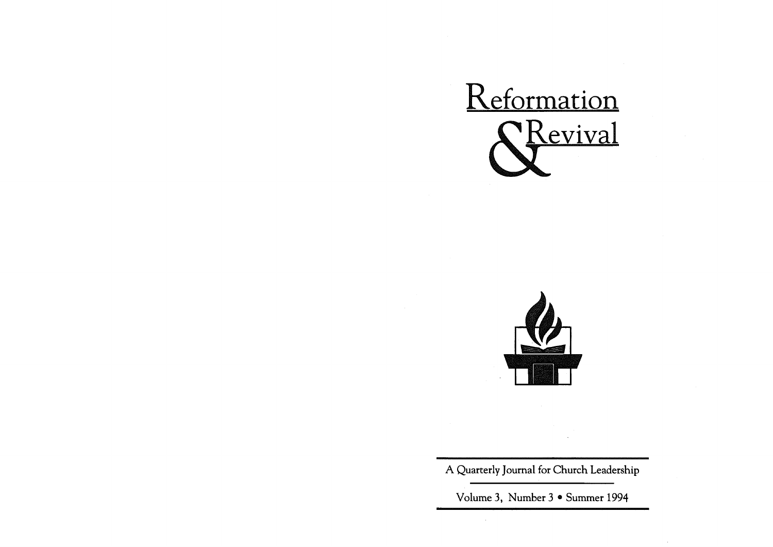



A Quarterly Journal for Church Leadership

Volume 3, Number 3 • Summer 1994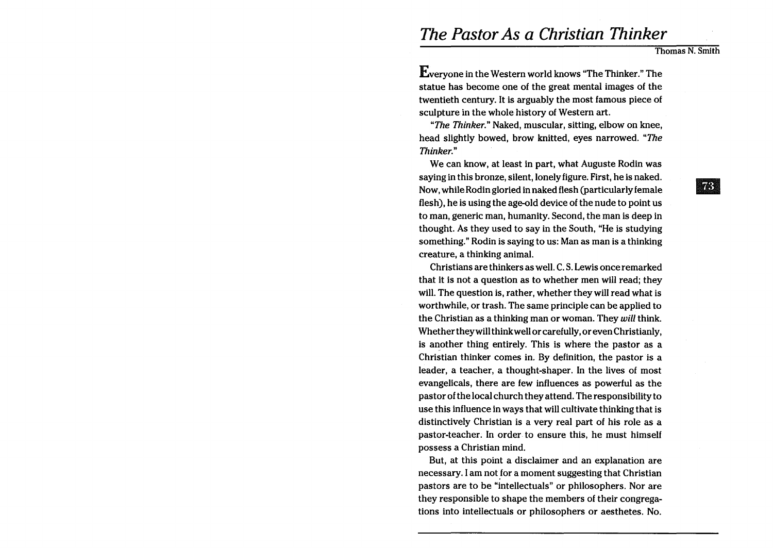# *The Pastor As* **a** *Christian Thinker*

Thomas N. Smith

Everyone in the Western world knows "The Thinker." The statue has become one of the great mental images of the twentieth century. It is arguably the most famous piece of sculpture in the whole history of Western art.

"The Thinker." Naked, muscular, sitting, elbow on knee, head slightly bowed, brow knitted, eyes narrowed. "The Thinker."

We can know, at least in part, what Auguste Rodin was saying in this bronze, silent, lonely figure. First, he is naked. Now, while Rodin gloried in naked flesh (particularly female flesh), he is using the age-old device of the nude to point us to man, generic man, humanity. Second, the man is deep in thought. As they used to say in the South, "He is studying something." Rodin is saying to us: Man as man is a thinking creature, a thinking animal.

Christians are thinkers as well. C. S. Lewis once remarked that it is not a question as to whether men will read; they will. The question is, rather, whether they will read what is worthwhile, or trash. The same principle can be applied to the Christian as a thinking man or woman. They will think. Whether theywill think well or carefully, or even Christianly, is another thing entirely. This is where the pastor as a Christian thinker comes in. By definition, the pastor is a leader, a teacher, a thought-shaper. In the lives of most evangelicals, there are few influences as powerful as the pastor of the local church they attend. The responsibility to use this influence in ways that will cultivate thinking that is distinctively Christian is a very real part of his role as a pastor-teacher. In order to ensure this, he must himself possess a Christian mind.

But, at this point a disclaimer and an explanation are necessary. I am not for a moment suggesting that Christian pastors are to be "intellectuals" or philosophers. Nor are they responsible to shape the members of their congregations into intellectuals or philosophers or aesthetes. No.

 $\boxed{73}$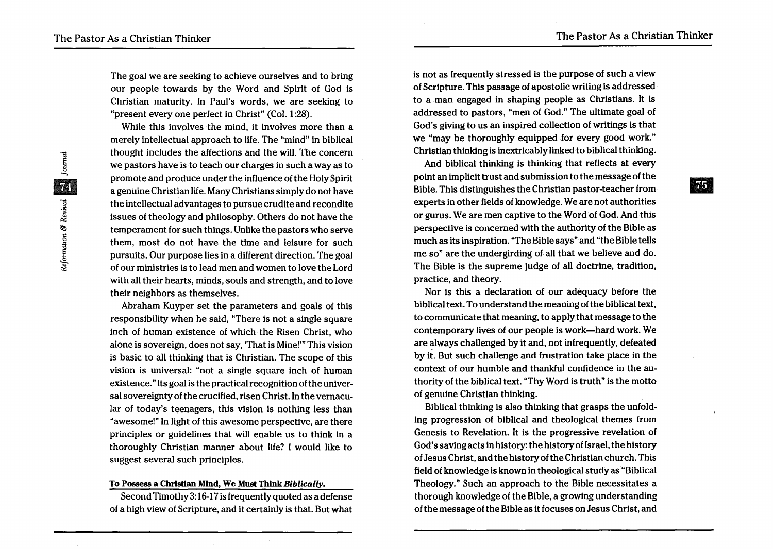$|75|$ 

The goal we are seeking to achieve ourselves and to bring our people towards by the Word and Spirit of God is Christian maturity. In Paul's words, we are seeking to "present every one perfect in Christ" (Col. 1:28).

While this involves the mind, it involves more than a merely intellectual approach to life. The "mind" in biblical thought includes the affections and the will. The concern we pastors have is to teach our charges in such a way as to promote and produce under the influence of the Holy Spirit a genuine Christian life. Many Christians simply do not have the intellectual advantages to pursue erudite and recondite issues of theology and philosophy. Others do not have the temperament for such things. Unlike the pastors who serve them, most do not have the time and leisure for such pursuits. Our purpose lies in a different direction. The goal of our ministries is to lead men and women to love the Lord with all their hearts, minds, souls and strength, and to love their neighbors as themselves.

Abraham Kuyper set the parameters and goals of this responsibility when he said, "There is not a single square inch of human existence of which the Risen Christ, who alone is sovereign, does not say, 'That is Mine!'" This vision is basic to all thinking that is Christian. The scope of this vision is universal: "not a single square inch of human existence." Its goal is the practical recognition of the universal sovereignty of the crucified, risen Christ. In the vernacular of today's teenagers, this vision is nothing less than "awesome!" In light of this awesome perspective, are there principles or guidelines that will enable us to think in a thoroughly Christian manner about life? I would like to suggest several such principles.

### To Possess a Christian Mind, We Must Think *Biblically.*

Second Timothy 3: 16-17 is frequently quoted as a defense of a high view of Scripture, and it certainly is that. But what is not as frequently stressed is the purpose of such a view of Scripture. This passage of apostolic writing is addressed to a man engaged in shaping people as Christians. It is addressed to pastors, "men of God." The ultimate goal of God's giving to us an inspired collection of writings is that we "may be thoroughly equipped for every good work." Christian thinking is inextricably linked to biblical thinking.

And biblical thinking is thinking that reflects at every point an implicit trust and submission to the message of the Bible. This distinguishes the Christian pastor-teacher from experts in other fields of knowledge. We are not authorities or gurus. We are men captive to the Word of God. And this perspective is concerned with the authority of the Bible as much as its inspiration. "The Bible says" and "the Bible tells me so" are the undergirding of all that we believe and do. The Bible is the supreme judge of all doctrine, tradition, practice, and theory.

Nor is this a declaration of our adequacy before the biblical text. To understand the meaning of the biblical text, to communicate that meaning, to apply that message to the contemporary lives of our people is work-hard work. We are always challenged by it and, not infrequently, defeated by it. But such challenge and frustration take place in the context of our humble and thankful confidence in the authority of the biblical text. "Thy Word is truth" is the motto of genuine Christian thinking.

Biblical thinking is also thinking that grasps the unfolding progression of biblical and theological themes from Genesis to Revelation. It is the progressive revelation of God's saving acts in history: the history of Israel, the history of Jesus Christ, and the history of the Christian church. This field of knowledge is known in theological study as "Biblical Theology." Such an approach to the Bible necessitates a thorough knowledge of the Bible, a growing understanding of the message of the Bible as it focuses on Jesus Christ, and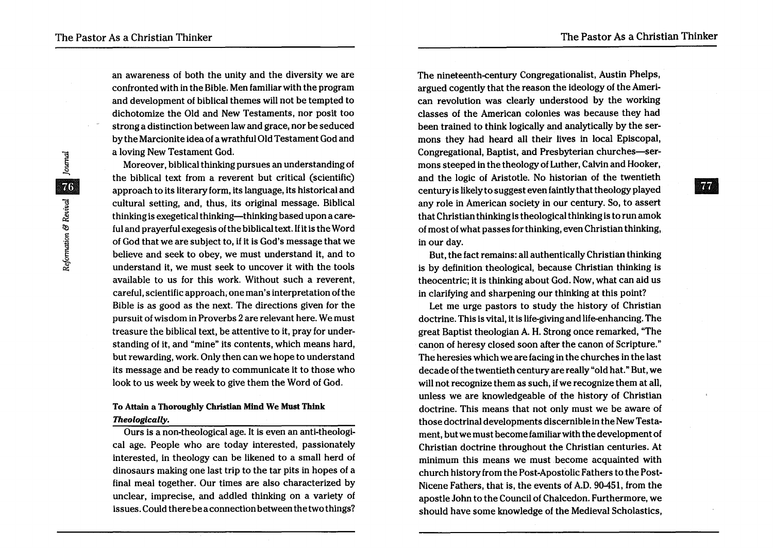an awareness of both the unity and the diversity we are confronted with in the Bible. Men familiar with the program and development of biblical themes will not be tempted to dichotomize the Old and New Testaments, nor posit too strong a distinction between law and grace, nor be seduced by the Marcionite idea of a wrathful Old Testament God and a loving New Testament God.

Moreover, biblical thinking pursues an understanding of the biblical text from a reverent but critical (scientific) approach to its literary form, its language, its historical and cultural setting, and, thus, its original message. Biblical thinking is exegetical thinking—thinking based upon a careful and prayerful exegesis ofthe biblical text. If it is the Word of God that we are subject to, if it is God's message that we believe and seek to obey, we must understand it, and to understand it, we. must seek to uncover it with the tools available to us for this work. Without such a reverent, careful, scientific approach, one man's interpretation of the Bible is as good as the next. The directions given for the pursuit of wisdom in Proverbs 2 are relevant here. We must treasure the biblical text, be attentive to it, pray for understanding of it, and "mine" its contents, which means hard, but rewarding, work. Only then can we hope to understand its message and be ready to communicate it to those who look to us week by week to give them the Word of God.

## To Attain a Thoroughly Christian Mind We Must Think *Theologically.*

Ours is a non-theological age. It is even an anti-theological age. People who are today interested, passionately interested, in theology can be likened to a small herd of dinosaurs making one last trip to the tar pits in hopes of a final meal together. Our times are also characterized by unclear, imprecise, and addled thinking on a variety of issues. Could there be a connection between the two things?

The nineteenth-century Congregationalist, Austin Phelps, argued cogently that the reason the ideology of the American revolution was clearly understood by the working classes of the American colonies was because they had been trained to think logically and analytically by the sermons they had heard all their lives in local Episcopal, Congregational, Baptist, and Presbyterian churches-sermons steeped in the theology of Luther, Calvin and Hooker, and the logic of Aristotle. No historian of the twentieth century is likely to suggest even faintly that theology played any role in American society in our century. So, to assert that Christian thinking is theological thinking is to run amok of most of what passes for thinking, even Christian thinking, in our day.

But, the fact remains: all authentically Christian thinking is by definition theological, because Christian thinking is theocentric; it is thinking about God. Now, what can aid us in clarifying and sharpening our thinking at this point?

Let me urge pastors to study the history of Christian doctrine. This is vital, it is life-giving and life-enhancing. The great Baptist theologian A. H. Strong once remarked, "The canon of heresy closed soon after the canon of Scripture." The heresies which we are facing in the churches in the last decade of the twentieth century are really "old hat." But, we will not recognize them as such, if we recognize them at all, unless we are knowledgeable of the history of Christian doctrine. This means that not only must we be aware of those doctrinal developments discernible in the New Testament, but we must become familiar with the development of Christian doctrine throughout the Christian centuries. At minimum this means we must become acquainted with church history from the Post-Apostolic Fathers to the Post-Nicene Fathers, that is, the events of A.D. 90451, from the apostle John to the Council of Chalcedon. Furthermore, we should have some knowledge of the Medieval Scholastics,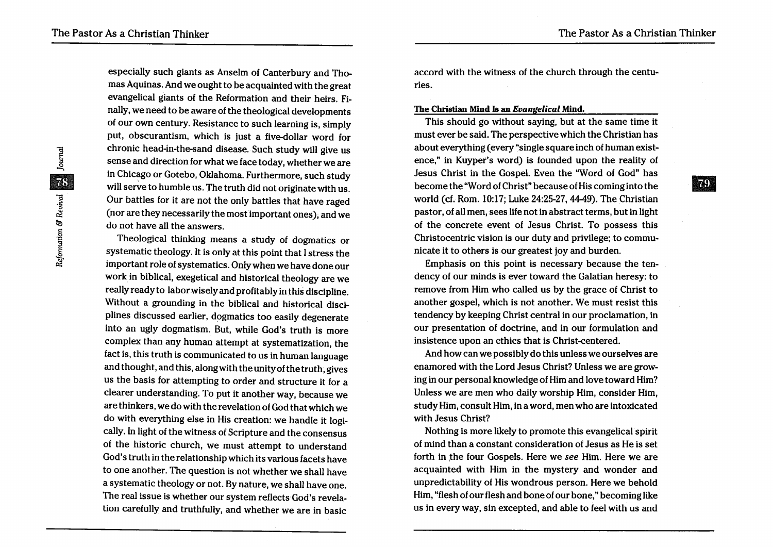&I

especially such giants as Anselm of Canterbury and Thomas Aquinas. And we ought to be acquainted with the great evangelical giants of the Reformation and their heirs. Finally, we need to be aware of the theological developments of our own century. Resistance to such learning is, simply put, obscurantism, which is just a five-dollar word for chronic head-in-the-sand disease. Such study will give us sense and direction for what we face today, whether we are in Chicago or Gotebo, Oklahoma. Furthermore, such study will serve to humble us. The truth did not originate with us. Our battles for it are not the only battles that have raged (nor are they necessarily the most important ones), and we do not have all the answers.

Theological thinking means a study of dogmatics or systematic theology. It is only at this point that I stress the important role of systematics. Only when we have done our work in biblical, exegetical and historical theology are we really ready to labor wisely and profitably in this discipline. Without a grounding in the biblical and historical disciplines discussed earlier, dogmatics too easily degenerate into an ugly dogmatism. But, while God's truth is more complex than any human attempt at systematization, the fact is, this truth is communicated to us in human language and thought, and this, along with the unity of the truth, gives us the basis for attempting to order and structure it for a clearer understanding. To put it another way, because we are thinkers, we do with the revelation of God that which we do with everything else in His creation: we handle it logically. In light of the witness of Scripture and the consensus of the historic church, we must attempt to understand God's truth in the relationship which its various facets have to one another. The question is not whether we shall have a systematic theology or not. By nature, we shall have one. The real issue is whether our system reflects God's revelation carefully and truthfully, and whether we are in basic

accord with the witness of the church through the centuries.

#### The Christian Mind Is an *Evangelical* Mind.

This should go without saying, but at the same time it must ever be said. The perspective which the Christian has about everything (every "single square inch of human existence," in Kuyper's word) is founded upon the reality of Jesus Christ in the Gospel. Even the "Word of God" has become the "Word of Christ" because of His coming into the world (cf. Rom. 10:17; Luke 24:25-27, 44-49). The Christian pastor, of all men, sees life not in abstract terms, but in light of the concrete event of Jesus Christ. To possess this Christocentric vision is our duty and privilege; to communicate it to others is our greatest joy and burden.

Emphasis on this point is necessary because the tendency of our minds is ever toward the Galatian heresy: to remove from Him who called us by the grace of Christ to another gospel, which is not another. We must resist this tendency by keeping Christ central in our proclamation, in our presentation of doctrine, and in our formulation and insistence upon an ethics that is Christ-centered.

And how can we possibly do this unless we ourselves are enamored with the Lord Jesus Christ? Unless we are growing in our personal knowledge of Him and love toward Him? Unless we are men who daily worship Him, consider Him, study Him, consult Him, in a word, men who are intoxicated with Jesus Christ?

Nothing is more likely to promote this evangelical spirit of mind than a constant consideration of Jesus as He is set forth in the four Gospels. Here we *see* Him. Here we are acquainted with Him in the mystery and wonder and unpredictability of His wondrous person. Here we behold Him, "flesh of our flesh and bone of our bone," becoming like us in every way, sin excepted, and able to feel with us and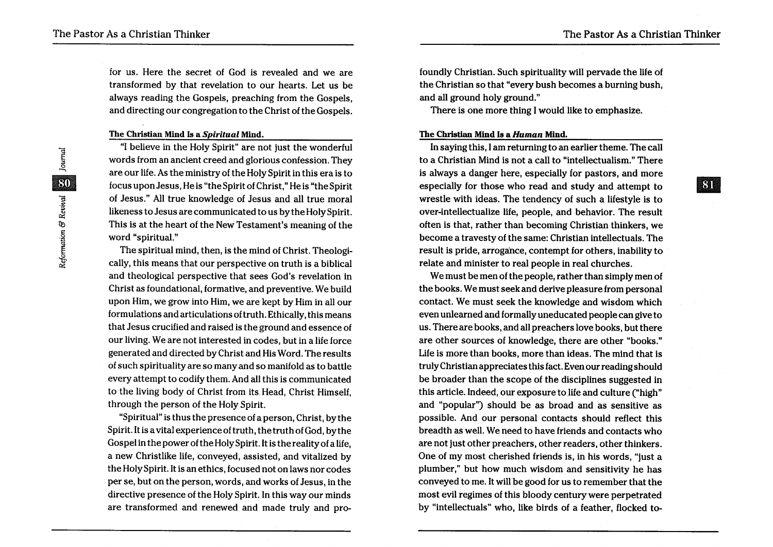**IRTE** 

for us. Here the secret of God is revealed and we are transformed by that revelation to our hearts. Let us be always reading the Gospels, preaching from the Gospels, and directing our congregation to the Christ of the Gospels.

#### The Christian Mind Is a *Spiritual* Mind.

"I believe in the Holy Spirit" are not just the wonderful words from an ancient creed and glorious confession. They are our life. As the ministry of the Holy Spirit in this era is to focus upon Jesus, He is "the Spirit of Christ," He is "the Spirit of Jesus." All true knowledge of Jesus and all true moral likeness to Jesus are communicated to us by the Holy Spirit. This is at the heart of the New Testament's meaning of the word "spiritual."

The spiritual mind, then, is the mind of Christ. Theologically, this means that our perspective on truth is a biblical and theological perspective that sees God's revelation in Christ as foundational, formative, and preventive. We build upon Him, we grow into Him, we are kept by Him in all our formulations and articulations of truth. Ethically, this means that Jesus crucified and raised is the ground and essence of our living. We are not interested in codes, but in a life force generated and directed by Christ and His Word. The results of such spirituality are so many and so manifold as to battle every attempt to codify them. And all this is communicated to the living body of Christ from its. Head, Christ Himself, through the person of the Holy Spirit.

"Spiritual" is thus the presence of a person, Christ, by the Spirit. It is a vital experience of truth, the truth of God, by the Gos pel in the power of the Holy Spirit. It is the reality of a life, a new Christlike life, conveyed, assisted, and vitalized by the Holy Spirit. It is an ethics, focused not on laws nor codes per se, but on the person, words, and works of Jesus, in the directive presence of the Holy Spirit. In this way our minds are transformed and renewed and made truly and profoundly Christian. Such spirituality will pervade the life of the Christian so that "every bush becomes a burning bush, and all ground holy ground."

There is one more thing I would like to emphasize.

#### The Christian Mind Is a *Human* Mind.

In saying this, I am returning to an earlier theme. The call to a Christian Mind is not a call to "intellectualism." There is always a danger here, especially for pastors, and more especially for those who read and study and attempt to wrestle with ideas. The tendency of such a lifestyle is to over-intellectualize life, people, and behavior. The result often is that, rather than becoming Christian thinkers, we become a travesty of the same: Christian intellectuals. The result is pride, arrogance, contempt for others, inability to relate and minister to real people in real churches.

We must be men of the people, rather than simply men of the books. We must seek and derive pleasure from personal contact. We must seek the knowledge and wisdom which even unlearned and formally uneducated people can give to us. There are books, and all preachers love books, but there are other sources of knowledge, there are other "books." Life is more than books, more than ideas. The mind that is truly Christian appreciates this fact. Even our reading should be broader than the scope of the disciplines suggested in this article. Indeed, our exposure to life and culture ("high" and "popular") should be as broad and as sensitive as possible. And our personal contacts should reflect this breadth as well. We need to have friends and contacts who are not just other preachers, other readers, other thinkers. One of my most cherished friends is, in his words, "just a plumber," but how much wisdom and sensitivity he has conveyed to me. It will be good for us to remember that the most evil regimes of this bloody century were perpetrated by "intellectuals" who, like birds of a feather, flocked to